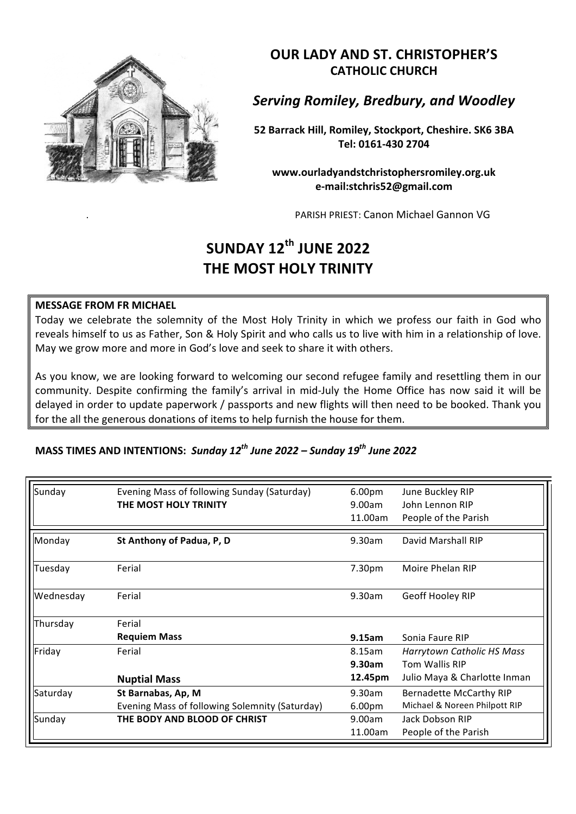

**OUR LADY AND ST. CHRISTOPHER'S CATHOLIC CHURCH**

**Serving Romiley, Bredbury, and Woodley** 

**52 Barrack Hill, Romiley, Stockport, Cheshire. SK6 3BA Tel: 0161-430 2704**

**www.ourladyandstchristophersromiley.org.uk e-mail:stchris52@gmail.com**

PARISH PRIEST: Canon Michael Gannon VG

## **SUNDAY 12th JUNE 2022 THE MOST HOLY TRINITY**

## **MESSAGE FROM FR MICHAEL**

Today we celebrate the solemnity of the Most Holy Trinity in which we profess our faith in God who reveals himself to us as Father, Son & Holy Spirit and who calls us to live with him in a relationship of love. May we grow more and more in God's love and seek to share it with others.

As you know, we are looking forward to welcoming our second refugee family and resettling them in our community. Despite confirming the family's arrival in mid-July the Home Office has now said it will be delayed in order to update paperwork / passports and new flights will then need to be booked. Thank you for the all the generous donations of items to help furnish the house for them.

## **MASS TIMES AND INTENTIONS: Sunday 12<sup>th</sup> June 2022 – Sunday 19<sup>th</sup> June 2022**

| Sunday    | Evening Mass of following Sunday (Saturday)    | 6.00 <sub>pm</sub> | June Buckley RIP               |
|-----------|------------------------------------------------|--------------------|--------------------------------|
|           | THE MOST HOLY TRINITY                          | 9.00am             | John Lennon RIP                |
|           |                                                | 11.00am            | People of the Parish           |
| Monday    | St Anthony of Padua, P, D                      | 9.30am             | David Marshall RIP             |
| Tuesday   | Ferial                                         | 7.30pm             | Moire Phelan RIP               |
| Wednesday | Ferial                                         | 9.30am             | Geoff Hooley RIP               |
| Thursday  | Ferial                                         |                    |                                |
|           | <b>Requiem Mass</b>                            | 9.15am             | Sonia Faure RIP                |
| Friday    | Ferial                                         | 8.15am             | Harrytown Catholic HS Mass     |
|           |                                                | 9.30am             | Tom Wallis RIP                 |
|           | <b>Nuptial Mass</b>                            | 12.45pm            | Julio Maya & Charlotte Inman   |
| Saturday  | St Barnabas, Ap, M                             | 9.30am             | <b>Bernadette McCarthy RIP</b> |
|           | Evening Mass of following Solemnity (Saturday) | 6.00 <sub>pm</sub> | Michael & Noreen Philpott RIP  |
| Sunday    | THE BODY AND BLOOD OF CHRIST                   | 9.00am             | Jack Dobson RIP                |
|           |                                                | 11.00am            | People of the Parish           |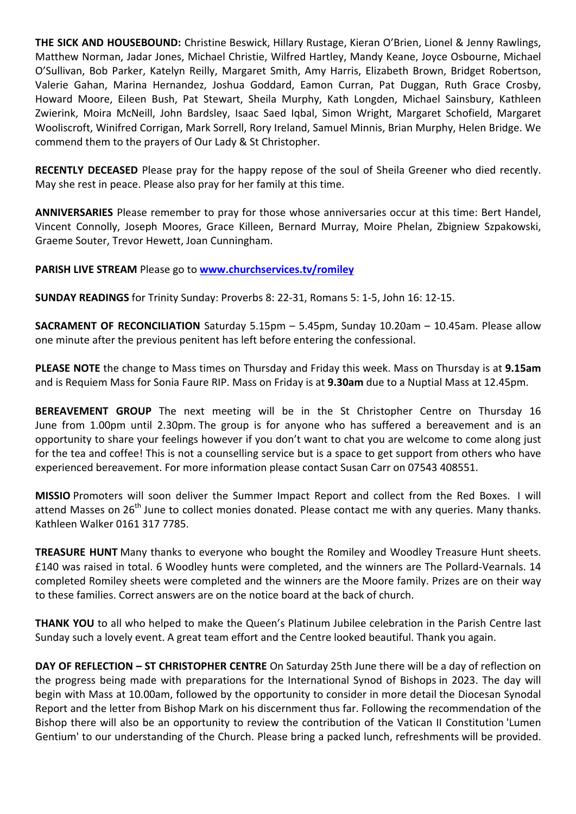**THE SICK AND HOUSEBOUND:** Christine Beswick, Hillary Rustage, Kieran O'Brien, Lionel & Jenny Rawlings, Matthew Norman, Jadar Jones, Michael Christie, Wilfred Hartley, Mandy Keane, Joyce Osbourne, Michael O'Sullivan, Bob Parker, Katelyn Reilly, Margaret Smith, Amy Harris, Elizabeth Brown, Bridget Robertson, Valerie Gahan, Marina Hernandez, Joshua Goddard, Eamon Curran, Pat Duggan, Ruth Grace Crosby, Howard Moore, Eileen Bush, Pat Stewart, Sheila Murphy, Kath Longden, Michael Sainsbury, Kathleen Zwierink, Moira McNeill, John Bardsley, Isaac Saed Iqbal, Simon Wright, Margaret Schofield, Margaret Wooliscroft, Winifred Corrigan, Mark Sorrell, Rory Ireland, Samuel Minnis, Brian Murphy, Helen Bridge. We commend them to the prayers of Our Lady & St Christopher.

**RECENTLY DECEASED** Please pray for the happy repose of the soul of Sheila Greener who died recently. May she rest in peace. Please also pray for her family at this time.

**ANNIVERSARIES** Please remember to pray for those whose anniversaries occur at this time: Bert Handel, Vincent Connolly, Joseph Moores, Grace Killeen, Bernard Murray, Moire Phelan, Zbigniew Szpakowski, Graeme Souter, Trevor Hewett, Joan Cunningham.

## **PARISH LIVE STREAM Please go to www.churchservices.tv/romiley**

**SUNDAY READINGS** for Trinity Sunday: Proverbs 8: 22-31, Romans 5: 1-5, John 16: 12-15.

**SACRAMENT OF RECONCILIATION** Saturday 5.15pm - 5.45pm, Sunday 10.20am - 10.45am. Please allow one minute after the previous penitent has left before entering the confessional.

**PLEASE NOTE** the change to Mass times on Thursday and Friday this week. Mass on Thursday is at 9.15am and is Requiem Mass for Sonia Faure RIP. Mass on Friday is at 9.30am due to a Nuptial Mass at 12.45pm.

BEREAVEMENT GROUP The next meeting will be in the St Christopher Centre on Thursday 16 June from 1.00pm until 2.30pm. The group is for anyone who has suffered a bereavement and is an opportunity to share your feelings however if you don't want to chat you are welcome to come along just for the tea and coffee! This is not a counselling service but is a space to get support from others who have experienced bereavement. For more information please contact Susan Carr on 07543 408551.

**MISSIO** Promoters will soon deliver the Summer Impact Report and collect from the Red Boxes. I will attend Masses on 26<sup>th</sup> June to collect monies donated. Please contact me with any queries. Many thanks. Kathleen Walker 0161 317 7785.

**TREASURE HUNT** Many thanks to everyone who bought the Romiley and Woodley Treasure Hunt sheets. £140 was raised in total. 6 Woodley hunts were completed, and the winners are The Pollard-Vearnals. 14 completed Romiley sheets were completed and the winners are the Moore family. Prizes are on their way to these families. Correct answers are on the notice board at the back of church.

**THANK YOU** to all who helped to make the Queen's Platinum Jubilee celebration in the Parish Centre last Sunday such a lovely event. A great team effort and the Centre looked beautiful. Thank you again.

**DAY OF REFLECTION - ST CHRISTOPHER CENTRE** On Saturday 25th June there will be a day of reflection on the progress being made with preparations for the International Synod of Bishops in 2023. The day will begin with Mass at 10.00am, followed by the opportunity to consider in more detail the Diocesan Synodal Report and the letter from Bishop Mark on his discernment thus far. Following the recommendation of the Bishop there will also be an opportunity to review the contribution of the Vatican II Constitution 'Lumen Gentium' to our understanding of the Church. Please bring a packed lunch, refreshments will be provided.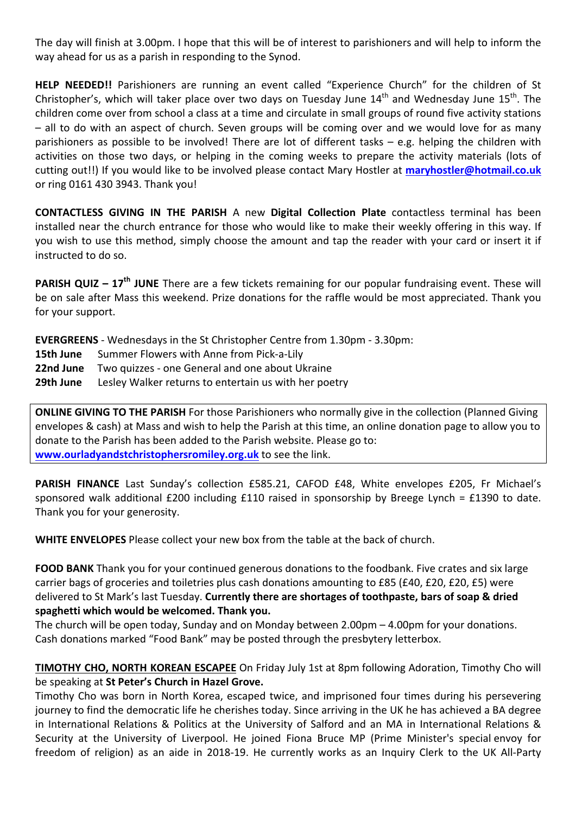The day will finish at 3.00pm. I hope that this will be of interest to parishioners and will help to inform the way ahead for us as a parish in responding to the Synod.

HELP NEEDED!! Parishioners are running an event called "Experience Church" for the children of St Christopher's, which will taker place over two days on Tuesday June  $14<sup>th</sup>$  and Wednesday June  $15<sup>th</sup>$ . The children come over from school a class at a time and circulate in small groups of round five activity stations – all to do with an aspect of church. Seven groups will be coming over and we would love for as many parishioners as possible to be involved! There are lot of different tasks  $-$  e.g. helping the children with activities on those two days, or helping in the coming weeks to prepare the activity materials (lots of cutting out!!) If you would like to be involved please contact Mary Hostler at maryhostler@hotmail.co.uk or ring 0161 430 3943. Thank you!

**CONTACTLESS GIVING IN THE PARISH** A new **Digital Collection Plate** contactless terminal has been installed near the church entrance for those who would like to make their weekly offering in this way. If you wish to use this method, simply choose the amount and tap the reader with your card or insert it if instructed to do so.

**PARISH QUIZ** – 17<sup>th</sup> JUNE There are a few tickets remaining for our popular fundraising event. These will be on sale after Mass this weekend. Prize donations for the raffle would be most appreciated. Thank you for your support.

**EVERGREENS** - Wednesdays in the St Christopher Centre from 1.30pm - 3.30pm:

- **15th June** Summer Flowers with Anne from Pick-a-Lily
- **22nd June** Two quizzes one General and one about Ukraine
- **29th June** Lesley Walker returns to entertain us with her poetry

**ONLINE GIVING TO THE PARISH** For those Parishioners who normally give in the collection (Planned Giving envelopes & cash) at Mass and wish to help the Parish at this time, an online donation page to allow you to donate to the Parish has been added to the Parish website. Please go to: **www.ourladyandstchristophersromiley.org.uk** to see the link.

**PARISH FINANCE** Last Sunday's collection £585.21, CAFOD £48, White envelopes £205, Fr Michael's sponsored walk additional  $£200$  including  $£110$  raised in sponsorship by Breege Lynch =  $£1390$  to date. Thank you for your generosity.

**WHITE ENVELOPES** Please collect your new box from the table at the back of church.

**FOOD BANK** Thank you for your continued generous donations to the foodbank. Five crates and six large carrier bags of groceries and toiletries plus cash donations amounting to  $E85$  ( $E40$ ,  $E20$ ,  $E20$ ,  $E5$ ) were delivered to St Mark's last Tuesday. Currently there are shortages of toothpaste, bars of soap & dried spaghetti which would be welcomed. Thank you.

The church will be open today, Sunday and on Monday between  $2.00$ pm – 4.00pm for your donations. Cash donations marked "Food Bank" may be posted through the presbytery letterbox.

**TIMOTHY CHO, NORTH KOREAN ESCAPEE** On Friday July 1st at 8pm following Adoration, Timothy Cho will be speaking at St Peter's Church in Hazel Grove.

Timothy Cho was born in North Korea, escaped twice, and imprisoned four times during his persevering journey to find the democratic life he cherishes today. Since arriving in the UK he has achieved a BA degree in International Relations & Politics at the University of Salford and an MA in International Relations & Security at the University of Liverpool. He joined Fiona Bruce MP (Prime Minister's special envoy for freedom of religion) as an aide in 2018-19. He currently works as an Inquiry Clerk to the UK All-Party